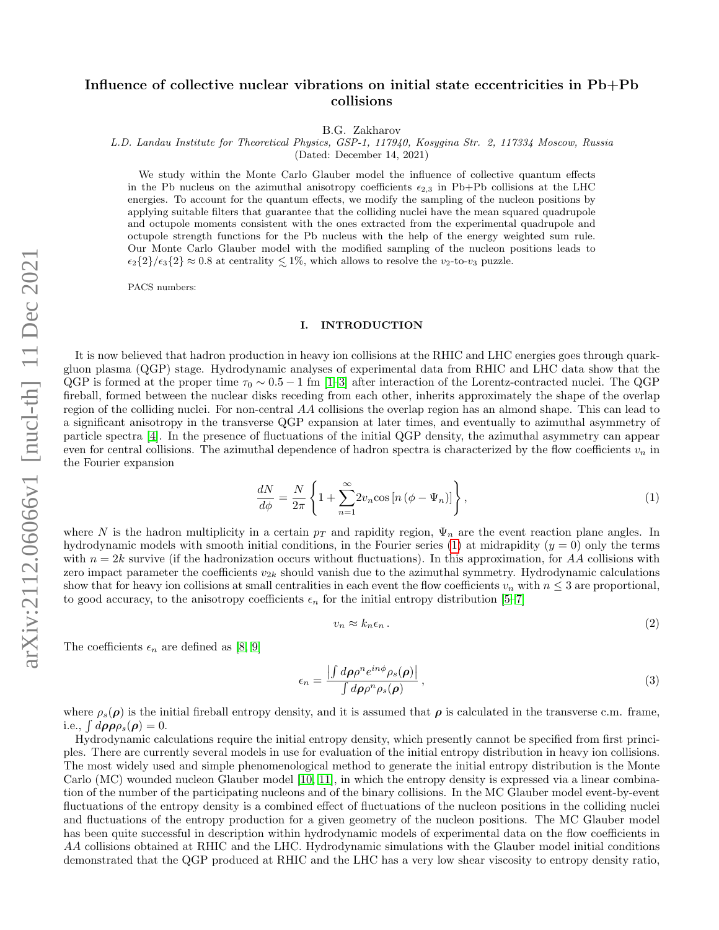# Influence of collective nuclear vibrations on initial state eccentricities in Pb+Pb collisions

B.G. Zakharov

L.D. Landau Institute for Theoretical Physics, GSP-1, 117940, Kosygina Str. 2, 117334 Moscow, Russia

(Dated: December 14, 2021)

We study within the Monte Carlo Glauber model the influence of collective quantum effects in the Pb nucleus on the azimuthal anisotropy coefficients  $\epsilon_{2,3}$  in Pb+Pb collisions at the LHC energies. To account for the quantum effects, we modify the sampling of the nucleon positions by applying suitable filters that guarantee that the colliding nuclei have the mean squared quadrupole and octupole moments consistent with the ones extracted from the experimental quadrupole and octupole strength functions for the Pb nucleus with the help of the energy weighted sum rule. Our Monte Carlo Glauber model with the modified sampling of the nucleon positions leads to  $\epsilon_2$ {2}/ $\epsilon_3$ {2} ≈ 0.8 at centrality  $\leq 1\%$ , which allows to resolve the  $v_2$ -to- $v_3$  puzzle.

PACS numbers:

### I. INTRODUCTION

It is now believed that hadron production in heavy ion collisions at the RHIC and LHC energies goes through quarkgluon plasma (QGP) stage. Hydrodynamic analyses of experimental data from RHIC and LHC data show that the QGP is formed at the proper time  $\tau_0 \sim 0.5 - 1$  fm [\[1–](#page-11-0)[3\]](#page-11-1) after interaction of the Lorentz-contracted nuclei. The QGP fireball, formed between the nuclear disks receding from each other, inherits approximately the shape of the overlap region of the colliding nuclei. For non-central AA collisions the overlap region has an almond shape. This can lead to a significant anisotropy in the transverse QGP expansion at later times, and eventually to azimuthal asymmetry of particle spectra [\[4\]](#page-11-2). In the presence of fluctuations of the initial QGP density, the azimuthal asymmetry can appear even for central collisions. The azimuthal dependence of hadron spectra is characterized by the flow coefficients  $v_n$  in the Fourier expansion

<span id="page-0-0"></span>
$$
\frac{dN}{d\phi} = \frac{N}{2\pi} \left\{ 1 + \sum_{n=1}^{\infty} 2v_n \cos\left[n\left(\phi - \Psi_n\right)\right] \right\},\tag{1}
$$

where N is the hadron multiplicity in a certain  $p_T$  and rapidity region,  $\Psi_n$  are the event reaction plane angles. In hydrodynamic models with smooth initial conditions, in the Fourier series  $(1)$  at midrapidity  $(y = 0)$  only the terms with  $n = 2k$  survive (if the hadronization occurs without fluctuations). In this approximation, for AA collisions with zero impact parameter the coefficients  $v_{2k}$  should vanish due to the azimuthal symmetry. Hydrodynamic calculations show that for heavy ion collisions at small centralities in each event the flow coefficients  $v_n$  with  $n \leq 3$  are proportional, to good accuracy, to the anisotropy coefficients  $\epsilon_n$  for the initial entropy distribution [\[5–](#page-11-3)[7\]](#page-11-4)

<span id="page-0-1"></span>
$$
v_n \approx k_n \epsilon_n \,. \tag{2}
$$

The coefficients  $\epsilon_n$  are defined as [\[8,](#page-11-5) [9\]](#page-11-6)

$$
\epsilon_n = \frac{\left| \int d\rho \rho^n e^{in\phi} \rho_s(\rho) \right|}{\int d\rho \rho^n \rho_s(\rho)},\tag{3}
$$

where  $\rho_s(\rho)$  is the initial fireball entropy density, and it is assumed that  $\rho$  is calculated in the transverse c.m. frame, i.e.,  $\int d\rho \rho \rho_s(\rho) = 0$ .

Hydrodynamic calculations require the initial entropy density, which presently cannot be specified from first principles. There are currently several models in use for evaluation of the initial entropy distribution in heavy ion collisions. The most widely used and simple phenomenological method to generate the initial entropy distribution is the Monte Carlo (MC) wounded nucleon Glauber model [\[10,](#page-11-7) [11\]](#page-11-8), in which the entropy density is expressed via a linear combination of the number of the participating nucleons and of the binary collisions. In the MC Glauber model event-by-event fluctuations of the entropy density is a combined effect of fluctuations of the nucleon positions in the colliding nuclei and fluctuations of the entropy production for a given geometry of the nucleon positions. The MC Glauber model has been quite successful in description within hydrodynamic models of experimental data on the flow coefficients in AA collisions obtained at RHIC and the LHC. Hydrodynamic simulations with the Glauber model initial conditions demonstrated that the QGP produced at RHIC and the LHC has a very low shear viscosity to entropy density ratio,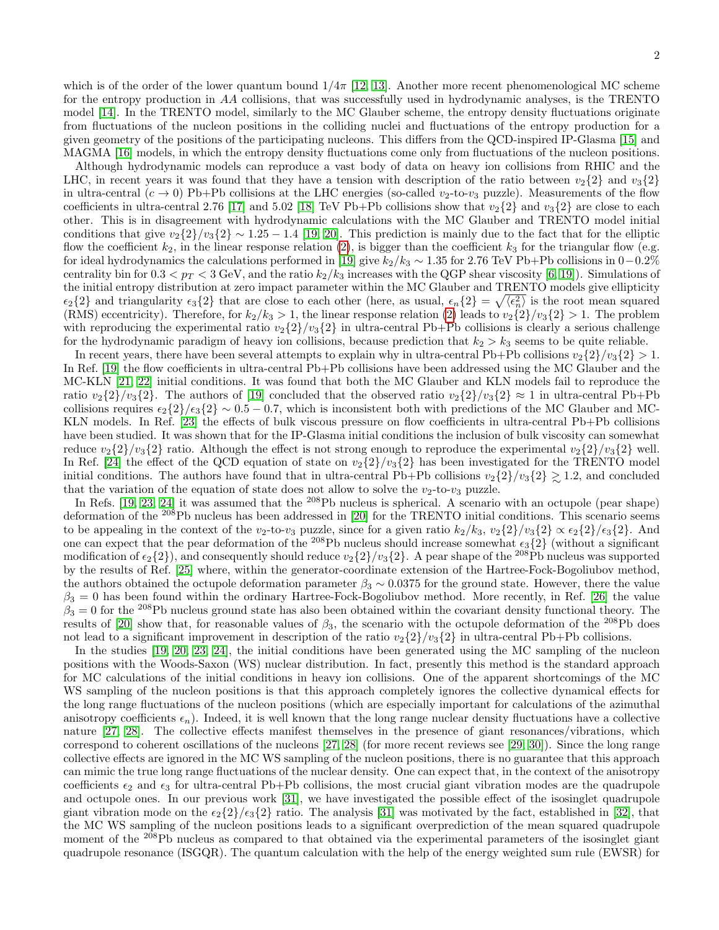which is of the order of the lower quantum bound  $1/4\pi$  [\[12,](#page-11-9) [13\]](#page-11-10). Another more recent phenomenological MC scheme for the entropy production in AA collisions, that was successfully used in hydrodynamic analyses, is the TRENTO model [\[14\]](#page-11-11). In the TRENTO model, similarly to the MC Glauber scheme, the entropy density fluctuations originate from fluctuations of the nucleon positions in the colliding nuclei and fluctuations of the entropy production for a given geometry of the positions of the participating nucleons. This differs from the QCD-inspired IP-Glasma [\[15\]](#page-11-12) and MAGMA [\[16\]](#page-11-13) models, in which the entropy density fluctuations come only from fluctuations of the nucleon positions.

Although hydrodynamic models can reproduce a vast body of data on heavy ion collisions from RHIC and the LHC, in recent years it was found that they have a tension with description of the ratio between  $v_2\{2\}$  and  $v_3\{2\}$ in ultra-central  $(c \to 0)$  Pb+Pb collisions at the LHC energies (so-called  $v_2$ -to- $v_3$  puzzle). Measurements of the flow coefficients in ultra-central 2.76 [\[17\]](#page-11-14) and 5.02 [\[18\]](#page-11-15) TeV Pb+Pb collisions show that  $v_2\{2\}$  and  $v_3\{2\}$  are close to each other. This is in disagreement with hydrodynamic calculations with the MC Glauber and TRENTO model initial conditions that give  $v_2{2v_3{2} \sim 1.25 - 1.4$  [\[19,](#page-11-16) [20\]](#page-11-17). This prediction is mainly due to the fact that for the elliptic flow the coefficient  $k_2$ , in the linear response relation [\(2\)](#page-0-1), is bigger than the coefficient  $k_3$  for the triangular flow (e.g. for ideal hydrodynamics the calculations performed in [\[19\]](#page-11-16) give  $k_2/k_3 \sim 1.35$  for 2.76 TeV Pb+Pb collisions in 0–0.2% centrality bin for  $0.3 < p_T < 3$  GeV, and the ratio  $k_2/k_3$  increases with the QGP shear viscosity [\[6,](#page-11-18) [19\]](#page-11-16)). Simulations of the initial entropy distribution at zero impact parameter within the MC Glauber and TRENTO models give ellipticity  $\epsilon_2$ {2} and triangularity  $\epsilon_3$ {2} that are close to each other (here, as usual,  $\epsilon_n$ {2} =  $\sqrt{\langle \epsilon_n^2 \rangle}$  is the root mean squared (RMS) eccentricity). Therefore, for  $k_2/k_3 > 1$ , the linear response relation [\(2\)](#page-0-1) leads to  $v_2\{2\}/v_3\{2\} > 1$ . The problem with reproducing the experimental ratio  $v_2\{2\}/v_3\{2\}$  in ultra-central Pb+Pb collisions is clearly a serious challenge for the hydrodynamic paradigm of heavy ion collisions, because prediction that  $k_2 > k_3$  seems to be quite reliable.

In recent years, there have been several attempts to explain why in ultra-central Pb+Pb collisions  $v_2\{2\}/v_3\{2\} > 1$ . In Ref. [\[19\]](#page-11-16) the flow coefficients in ultra-central Pb+Pb collisions have been addressed using the MC Glauber and the MC-KLN [\[21,](#page-11-19) [22\]](#page-11-20) initial conditions. It was found that both the MC Glauber and KLN models fail to reproduce the ratio  $v_2\{2\}/v_3\{2\}$ . The authors of [\[19\]](#page-11-16) concluded that the observed ratio  $v_2\{2\}/v_3\{2\} \approx 1$  in ultra-central Pb+Pb collisions requires  $\epsilon_2\{2\}/\epsilon_3\{2\} \sim 0.5 - 0.7$ , which is inconsistent both with predictions of the MC Glauber and MC-KLN models. In Ref. [\[23\]](#page-11-21) the effects of bulk viscous pressure on flow coefficients in ultra-central Pb+Pb collisions have been studied. It was shown that for the IP-Glasma initial conditions the inclusion of bulk viscosity can somewhat reduce  $v_2\{2\}/v_3\{2\}$  ratio. Although the effect is not strong enough to reproduce the experimental  $v_2\{2\}/v_3\{2\}$  well. In Ref. [\[24\]](#page-11-22) the effect of the QCD equation of state on  $v_2{2}/v_3{2}$  has been investigated for the TRENTO model initial conditions. The authors have found that in ultra-central Pb+Pb collisions  $v_2\{2\}/v_3\{2\} \gtrsim 1.2$ , and concluded that the variation of the equation of state does not allow to solve the  $v_2$ -to- $v_3$  puzzle.

In Refs.  $[19, 23, 24]$  $[19, 23, 24]$  $[19, 23, 24]$  it was assumed that the  $2^{08}Pb$  nucleus is spherical. A scenario with an octupole (pear shape) deformation of the  $^{208}$ Pb nucleus has been addressed in [\[20\]](#page-11-17) for the TRENTO initial conditions. This scenario seems to be appealing in the context of the v<sub>2</sub>-to-v<sub>3</sub> puzzle, since for a given ratio  $k_2/k_3$ ,  $v_2\{2\}/v_3\{2\} \propto \epsilon_2\{2\}/\epsilon_3\{2\}$ . And one can expect that the pear deformation of the <sup>208</sup>Pb nucleus should increase somewhat  $\epsilon_3$  {2} (without a significant modification of  $\epsilon_2$ {2}), and consequently should reduce  $v_2$ {2}/v<sub>3</sub>{2}. A pear shape of the <sup>208</sup>Pb nucleus was supported by the results of Ref. [\[25\]](#page-11-23) where, within the generator-coordinate extension of the Hartree-Fock-Bogoliubov method, the authors obtained the octupole deformation parameter  $\beta_3 \sim 0.0375$  for the ground state. However, there the value  $\beta_3 = 0$  has been found within the ordinary Hartree-Fock-Bogoliubov method. More recently, in Ref. [\[26\]](#page-11-24) the value  $\beta_3 = 0$  for the <sup>208</sup>Pb nucleus ground state has also been obtained within the covariant density functional theory. The results of [\[20\]](#page-11-17) show that, for reasonable values of  $\beta_3$ , the scenario with the octupole deformation of the <sup>208</sup>Pb does not lead to a significant improvement in description of the ratio  $v_2\{2\}/v_3\{2\}$  in ultra-central Pb+Pb collisions.

In the studies [\[19,](#page-11-16) [20,](#page-11-17) [23,](#page-11-21) [24\]](#page-11-22), the initial conditions have been generated using the MC sampling of the nucleon positions with the Woods-Saxon (WS) nuclear distribution. In fact, presently this method is the standard approach for MC calculations of the initial conditions in heavy ion collisions. One of the apparent shortcomings of the MC WS sampling of the nucleon positions is that this approach completely ignores the collective dynamical effects for the long range fluctuations of the nucleon positions (which are especially important for calculations of the azimuthal anisotropy coefficients  $\epsilon_n$ ). Indeed, it is well known that the long range nuclear density fluctuations have a collective nature [\[27,](#page-11-25) [28\]](#page-11-26). The collective effects manifest themselves in the presence of giant resonances/vibrations, which correspond to coherent oscillations of the nucleons [\[27,](#page-11-25) [28\]](#page-11-26) (for more recent reviews see [\[29,](#page-11-27) [30\]](#page-12-0)). Since the long range collective effects are ignored in the MC WS sampling of the nucleon positions, there is no guarantee that this approach can mimic the true long range fluctuations of the nuclear density. One can expect that, in the context of the anisotropy coefficients  $\epsilon_2$  and  $\epsilon_3$  for ultra-central Pb+Pb collisions, the most crucial giant vibration modes are the quadrupole and octupole ones. In our previous work [\[31\]](#page-12-1), we have investigated the possible effect of the isosinglet quadrupole giant vibration mode on the  $\epsilon_2\{2\}/\epsilon_3\{2\}$  ratio. The analysis [\[31\]](#page-12-1) was motivated by the fact, established in [\[32\]](#page-12-2), that the MC WS sampling of the nucleon positions leads to a significant overprediction of the mean squared quadrupole moment of the <sup>208</sup>Pb nucleus as compared to that obtained via the experimental parameters of the isosinglet giant quadrupole resonance (ISGQR). The quantum calculation with the help of the energy weighted sum rule (EWSR) for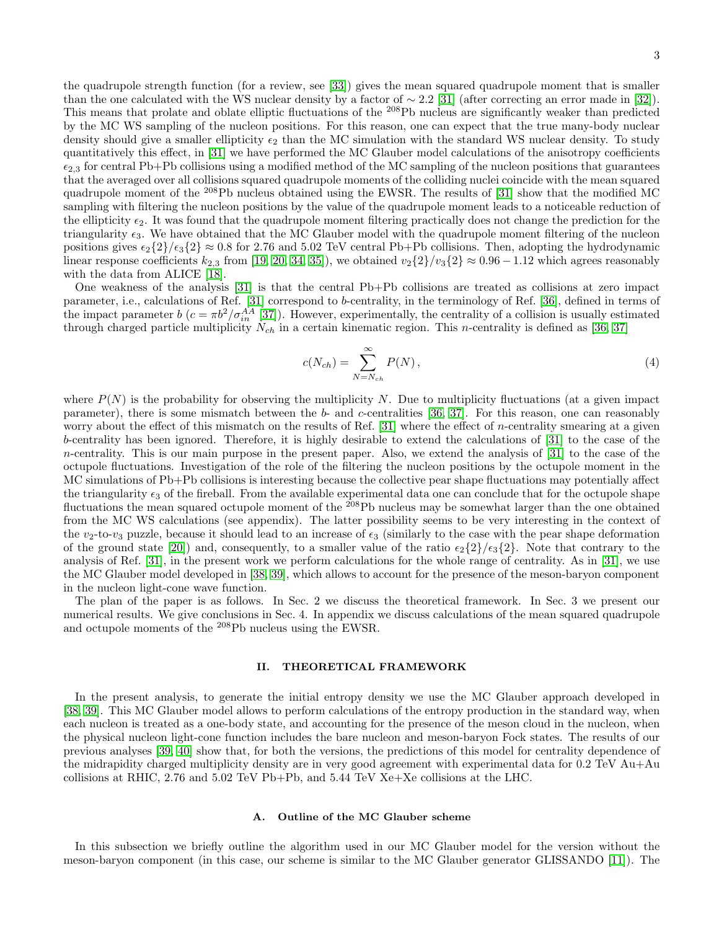3

the quadrupole strength function (for a review, see [\[33\]](#page-12-3)) gives the mean squared quadrupole moment that is smaller than the one calculated with the WS nuclear density by a factor of  $\sim 2.2$  [\[31\]](#page-12-1) (after correcting an error made in [\[32\]](#page-12-2)). This means that prolate and oblate elliptic fluctuations of the <sup>208</sup>Pb nucleus are significantly weaker than predicted by the MC WS sampling of the nucleon positions. For this reason, one can expect that the true many-body nuclear density should give a smaller ellipticity  $\epsilon_2$  than the MC simulation with the standard WS nuclear density. To study quantitatively this effect, in [\[31\]](#page-12-1) we have performed the MC Glauber model calculations of the anisotropy coefficients  $\epsilon_{2,3}$  for central Pb+Pb collisions using a modified method of the MC sampling of the nucleon positions that guarantees that the averaged over all collisions squared quadrupole moments of the colliding nuclei coincide with the mean squared quadrupole moment of the <sup>208</sup>Pb nucleus obtained using the EWSR. The results of [\[31\]](#page-12-1) show that the modified MC sampling with filtering the nucleon positions by the value of the quadrupole moment leads to a noticeable reduction of the ellipticity  $\epsilon_2$ . It was found that the quadrupole moment filtering practically does not change the prediction for the triangularity  $\epsilon_3$ . We have obtained that the MC Glauber model with the quadrupole moment filtering of the nucleon positions gives  $\epsilon_2$ {2}/ $\epsilon_3$ {2}  $\approx$  0.8 for 2.76 and 5.02 TeV central Pb+Pb collisions. Then, adopting the hydrodynamic linear response coefficients  $k_{2,3}$  from [\[19,](#page-11-16) [20,](#page-11-17) [34,](#page-12-4) [35\]](#page-12-5)), we obtained  $v_2\{2\}/v_3\{2\} \approx 0.96 - 1.12$  which agrees reasonably with the data from ALICE [\[18\]](#page-11-15).

One weakness of the analysis [\[31\]](#page-12-1) is that the central Pb+Pb collisions are treated as collisions at zero impact parameter, i.e., calculations of Ref. [\[31\]](#page-12-1) correspond to b-centrality, in the terminology of Ref. [\[36\]](#page-12-6), defined in terms of the impact parameter  $b$  ( $c = \pi b^2/\sigma_{in}^{AA}$  [\[37\]](#page-12-7)). However, experimentally, the centrality of a collision is usually estimated through charged particle multiplicity  $N_{ch}$  in a certain kinematic region. This *n*-centrality is defined as [\[36,](#page-12-6) [37\]](#page-12-7)

$$
c(N_{ch}) = \sum_{N=N_{ch}}^{\infty} P(N), \qquad (4)
$$

where  $P(N)$  is the probability for observing the multiplicity N. Due to multiplicity fluctuations (at a given impact parameter), there is some mismatch between the  $b$ - and  $c$ -centralities [\[36,](#page-12-6) [37\]](#page-12-7). For this reason, one can reasonably worry about the effect of this mismatch on the results of Ref. [\[31\]](#page-12-1) where the effect of n-centrality smearing at a given b-centrality has been ignored. Therefore, it is highly desirable to extend the calculations of [\[31\]](#page-12-1) to the case of the  $n$ -centrality. This is our main purpose in the present paper. Also, we extend the analysis of  $[31]$  to the case of the octupole fluctuations. Investigation of the role of the filtering the nucleon positions by the octupole moment in the MC simulations of Pb+Pb collisions is interesting because the collective pear shape fluctuations may potentially affect the triangularity  $\epsilon_3$  of the fireball. From the available experimental data one can conclude that for the octupole shape fluctuations the mean squared octupole moment of the <sup>208</sup>Pb nucleus may be somewhat larger than the one obtained from the MC WS calculations (see appendix). The latter possibility seems to be very interesting in the context of the  $v_2$ -to- $v_3$  puzzle, because it should lead to an increase of  $\epsilon_3$  (similarly to the case with the pear shape deformation of the ground state [\[20\]](#page-11-17)) and, consequently, to a smaller value of the ratio  $\epsilon_2\{2\}/\epsilon_3\{2\}$ . Note that contrary to the analysis of Ref. [\[31\]](#page-12-1), in the present work we perform calculations for the whole range of centrality. As in [\[31\]](#page-12-1), we use the MC Glauber model developed in [\[38,](#page-12-8) [39\]](#page-12-9), which allows to account for the presence of the meson-baryon component in the nucleon light-cone wave function.

The plan of the paper is as follows. In Sec. 2 we discuss the theoretical framework. In Sec. 3 we present our numerical results. We give conclusions in Sec. 4. In appendix we discuss calculations of the mean squared quadrupole and octupole moments of the <sup>208</sup>Pb nucleus using the EWSR.

## II. THEORETICAL FRAMEWORK

In the present analysis, to generate the initial entropy density we use the MC Glauber approach developed in [\[38,](#page-12-8) [39\]](#page-12-9). This MC Glauber model allows to perform calculations of the entropy production in the standard way, when each nucleon is treated as a one-body state, and accounting for the presence of the meson cloud in the nucleon, when the physical nucleon light-cone function includes the bare nucleon and meson-baryon Fock states. The results of our previous analyses [\[39,](#page-12-9) [40\]](#page-12-10) show that, for both the versions, the predictions of this model for centrality dependence of the midrapidity charged multiplicity density are in very good agreement with experimental data for 0.2 TeV Au+Au collisions at RHIC, 2.76 and 5.02 TeV Pb+Pb, and 5.44 TeV Xe+Xe collisions at the LHC.

### A. Outline of the MC Glauber scheme

In this subsection we briefly outline the algorithm used in our MC Glauber model for the version without the meson-baryon component (in this case, our scheme is similar to the MC Glauber generator GLISSANDO [\[11\]](#page-11-8)). The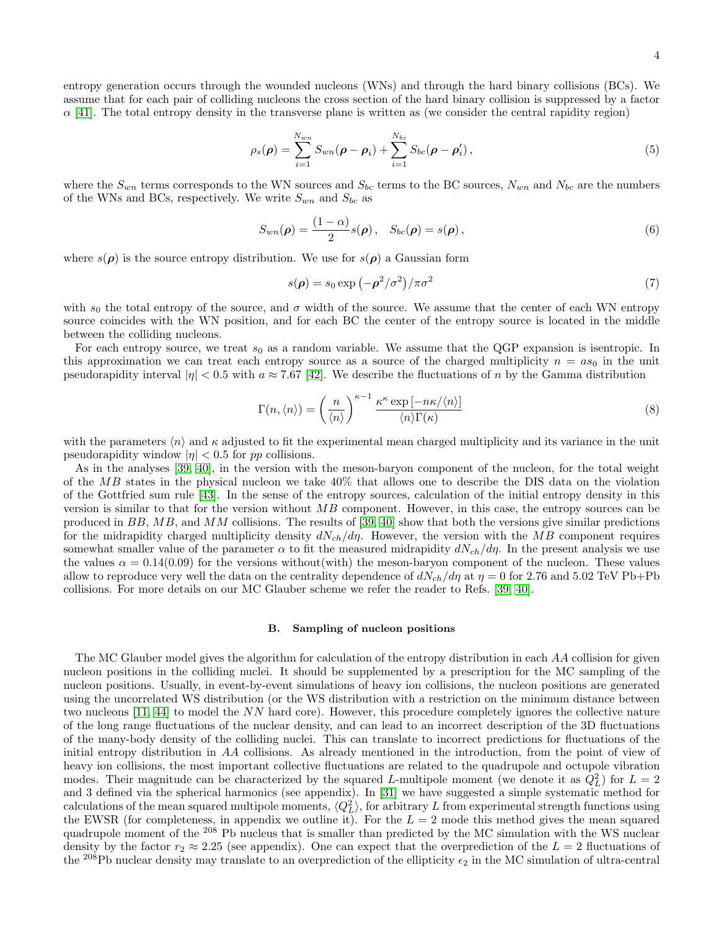entropy generation occurs through the wounded nucleons (WNs) and through the hard binary collisions (BCs). We assume that for each pair of colliding nucleons the cross section of the hard binary collision is suppressed by a factor  $\alpha$  [\[41\]](#page-12-11). The total entropy density in the transverse plane is written as (we consider the central rapidity region)

$$
\rho_s(\rho) = \sum_{i=1}^{N_{wn}} S_{wn}(\rho - \rho_i) + \sum_{i=1}^{N_{bc}} S_{bc}(\rho - \rho'_i) ,
$$
\n(5)

where the  $S_{wn}$  terms corresponds to the WN sources and  $S_{bc}$  terms to the BC sources,  $N_{wn}$  and  $N_{bc}$  are the numbers of the WNs and BCs, respectively. We write  $S_{wn}$  and  $S_{bc}$  as

$$
S_{wn}(\boldsymbol{\rho}) = \frac{(1-\alpha)}{2} s(\boldsymbol{\rho}), \quad S_{bc}(\boldsymbol{\rho}) = s(\boldsymbol{\rho}), \tag{6}
$$

where  $s(\rho)$  is the source entropy distribution. We use for  $s(\rho)$  a Gaussian form

$$
s(\rho) = s_0 \exp\left(-\rho^2/\sigma^2\right)/\pi\sigma^2 \tag{7}
$$

with  $s_0$  the total entropy of the source, and  $\sigma$  width of the source. We assume that the center of each WN entropy source coincides with the WN position, and for each BC the center of the entropy source is located in the middle between the colliding nucleons.

For each entropy source, we treat  $s_0$  as a random variable. We assume that the QGP expansion is isentropic. In this approximation we can treat each entropy source as a source of the charged multiplicity  $n = as_0$  in the unit pseudorapidity interval  $|\eta| < 0.5$  with  $a \approx 7.67$  [\[42\]](#page-12-12). We describe the fluctuations of n by the Gamma distribution

$$
\Gamma(n,\langle n\rangle) = \left(\frac{n}{\langle n\rangle}\right)^{\kappa-1} \frac{\kappa^{\kappa} \exp\left[-n\kappa/\langle n\rangle\right]}{\langle n\rangle \Gamma(\kappa)}\tag{8}
$$

with the parameters  $\langle n \rangle$  and  $\kappa$  adjusted to fit the experimental mean charged multiplicity and its variance in the unit pseudorapidity window  $|\eta| < 0.5$  for pp collisions.

As in the analyses [\[39,](#page-12-9) [40\]](#page-12-10), in the version with the meson-baryon component of the nucleon, for the total weight of the MB states in the physical nucleon we take 40% that allows one to describe the DIS data on the violation of the Gottfried sum rule [\[43\]](#page-12-13). In the sense of the entropy sources, calculation of the initial entropy density in this version is similar to that for the version without  $MB$  component. However, in this case, the entropy sources can be produced in  $BB$ ,  $MB$ , and  $MM$  collisions. The results of [\[39,](#page-12-9) [40\]](#page-12-10) show that both the versions give similar predictions for the midrapidity charged multiplicity density  $dN_{ch}/d\eta$ . However, the version with the MB component requires somewhat smaller value of the parameter  $\alpha$  to fit the measured midrapidity  $dN_{ch}/d\eta$ . In the present analysis we use the values  $\alpha = 0.14(0.09)$  for the versions without(with) the meson-baryon component of the nucleon. These values allow to reproduce very well the data on the centrality dependence of  $dN_{ch}/d\eta$  at  $\eta = 0$  for 2.76 and 5.02 TeV Pb+Pb collisions. For more details on our MC Glauber scheme we refer the reader to Refs. [\[39,](#page-12-9) [40\]](#page-12-10).

#### B. Sampling of nucleon positions

The MC Glauber model gives the algorithm for calculation of the entropy distribution in each AA collision for given nucleon positions in the colliding nuclei. It should be supplemented by a prescription for the MC sampling of the nucleon positions. Usually, in event-by-event simulations of heavy ion collisions, the nucleon positions are generated using the uncorrelated WS distribution (or the WS distribution with a restriction on the minimum distance between two nucleons [\[11,](#page-11-8) [44\]](#page-12-14) to model the NN hard core). However, this procedure completely ignores the collective nature of the long range fluctuations of the nuclear density, and can lead to an incorrect description of the 3D fluctuations of the many-body density of the colliding nuclei. This can translate to incorrect predictions for fluctuations of the initial entropy distribution in AA collisions. As already mentioned in the introduction, from the point of view of heavy ion collisions, the most important collective fluctuations are related to the quadrupole and octupole vibration modes. Their magnitude can be characterized by the squared L-multipole moment (we denote it as  $Q_L^2$ ) for  $L = 2$ and 3 defined via the spherical harmonics (see appendix). In [\[31\]](#page-12-1) we have suggested a simple systematic method for calculations of the mean squared multipole moments,  $\langle Q_L^2 \rangle$ , for arbitrary L from experimental strength functions using the EWSR (for completeness, in appendix we outline it). For the  $L = 2$  mode this method gives the mean squared quadrupole moment of the <sup>208</sup> Pb nucleus that is smaller than predicted by the MC simulation with the WS nuclear density by the factor  $r_2 \approx 2.25$  (see appendix). One can expect that the overprediction of the  $L = 2$  fluctuations of the <sup>208</sup>Pb nuclear density may translate to an overprediction of the ellipticity  $\epsilon_2$  in the MC simulation of ultra-central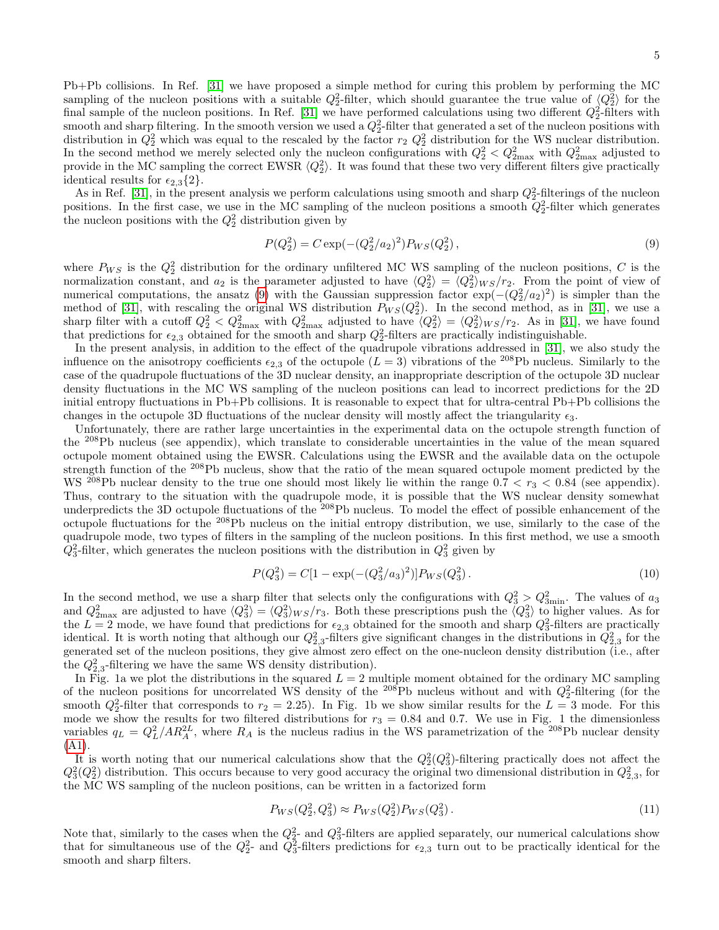Pb+Pb collisions. In Ref. [\[31\]](#page-12-1) we have proposed a simple method for curing this problem by performing the MC sampling of the nucleon positions with a suitable  $Q_2^2$ -filter, which should guarantee the true value of  $\langle Q_2^2 \rangle$  for the final sample of the nucleon positions. In Ref. [\[31\]](#page-12-1) we have performed calculations using two different  $Q_2^2$ -filters with smooth and sharp filtering. In the smooth version we used a  $Q_2^2$ -filter that generated a set of the nucleon positions with distribution in  $Q_2^2$  which was equal to the rescaled by the factor  $r_2$   $Q_2^2$  distribution for the WS nuclear distribution. In the second method we merely selected only the nucleon configurations with  $Q_2^2 < Q_{2\text{max}}^2$  with  $Q_{2\text{max}}^2$  adjusted to provide in the MC sampling the correct EWSR  $\langle Q_2^2 \rangle$ . It was found that these two very different filters give practically identical results for  $\epsilon_{2,3}{2}.$ 

As in Ref. [\[31\]](#page-12-1), in the present analysis we perform calculations using smooth and sharp  $Q_2^2$ -filterings of the nucleon positions. In the first case, we use in the MC sampling of the nucleon positions a smooth  $Q_2^2$ -filter which generates the nucleon positions with the  $Q_2^2$  distribution given by

<span id="page-4-0"></span>
$$
P(Q_2^2) = C \exp(-(Q_2^2/a_2)^2) P_{WS}(Q_2^2), \qquad (9)
$$

where  $P_{WS}$  is the  $Q_2^2$  distribution for the ordinary unfiltered MC WS sampling of the nucleon positions, C is the normalization constant, and  $a_2$  is the parameter adjusted to have  $\langle Q_2^2 \rangle = \langle Q_2^2 \rangle_{WS}/r_2$ . From the point of view of numerical computations, the ansatz [\(9\)](#page-4-0) with the Gaussian suppression factor  $\exp(-(Q_2^2/a_2)^2)$  is simpler than the method of [\[31\]](#page-12-1), with rescaling the original WS distribution  $P_{WS}(Q_2^2)$ . In the second method, as in [31], we use a sharp filter with a cutoff  $Q_2^2 < Q_{2\text{max}}^2$  with  $Q_{2\text{max}}^2$  adjusted to have  $\langle Q_2^2 \rangle = \langle Q_2^2 \rangle_{WS}/r_2$ . As in [\[31\]](#page-12-1), we have found that predictions for  $\epsilon_{2,3}$  obtained for the smooth and sharp  $Q_2^2$ -filters are practically indistinguishable.

In the present analysis, in addition to the effect of the quadrupole vibrations addressed in [\[31\]](#page-12-1), we also study the influence on the anisotropy coefficients  $\epsilon_{2,3}$  of the octupole  $(L = 3)$  vibrations of the <sup>208</sup>Pb nucleus. Similarly to the case of the quadrupole fluctuations of the 3D nuclear density, an inappropriate description of the octupole 3D nuclear density fluctuations in the MC WS sampling of the nucleon positions can lead to incorrect predictions for the 2D initial entropy fluctuations in Pb+Pb collisions. It is reasonable to expect that for ultra-central Pb+Pb collisions the changes in the octupole 3D fluctuations of the nuclear density will mostly affect the triangularity  $\epsilon_3$ .

Unfortunately, there are rather large uncertainties in the experimental data on the octupole strength function of the <sup>208</sup>Pb nucleus (see appendix), which translate to considerable uncertainties in the value of the mean squared octupole moment obtained using the EWSR. Calculations using the EWSR and the available data on the octupole strength function of the <sup>208</sup>Pb nucleus, show that the ratio of the mean squared octupole moment predicted by the WS <sup>208</sup>Pb nuclear density to the true one should most likely lie within the range  $0.7 < r_3 < 0.84$  (see appendix). Thus, contrary to the situation with the quadrupole mode, it is possible that the WS nuclear density somewhat underpredicts the 3D octupole fluctuations of the <sup>208</sup>Pb nucleus. To model the effect of possible enhancement of the octupole fluctuations for the <sup>208</sup>Pb nucleus on the initial entropy distribution, we use, similarly to the case of the quadrupole mode, two types of filters in the sampling of the nucleon positions. In this first method, we use a smooth  $Q_3^2$ -filter, which generates the nucleon positions with the distribution in  $Q_3^2$  given by

$$
P(Q_3^2) = C[1 - \exp(-(Q_3^2/a_3)^2)]P_{WS}(Q_3^2).
$$
\n(10)

In the second method, we use a sharp filter that selects only the configurations with  $Q_3^2 > Q_{3\text{min}}^2$ . The values of  $a_3$ and  $Q_{2\text{max}}^2$  are adjusted to have  $\langle Q_3^2 \rangle = \langle Q_3^2 \rangle_{WS}/r_3$ . Both these prescriptions push the  $\langle Q_3^2 \rangle$  to higher values. As for the  $L = 2$  mode, we have found that predictions for  $\epsilon_{2,3}$  obtained for the smooth and sharp  $Q_3^2$ -filters are practically identical. It is worth noting that although our  $Q_{2,3}^2$ -filters give significant changes in the distributions in  $Q_{2,3}^2$  for the generated set of the nucleon positions, they give almost zero effect on the one-nucleon density distribution (i.e., after the  $Q_{2,3}^2$ -filtering we have the same WS density distribution).

In Fig. 1a we plot the distributions in the squared  $L = 2$  multiple moment obtained for the ordinary MC sampling of the nucleon positions for uncorrelated WS density of the <sup>208</sup>Pb nucleus without and with  $Q_2^2$ -filtering (for the smooth  $Q_2^2$ -filter that corresponds to  $r_2 = 2.25$ ). In Fig. 1b we show similar results for the  $L = 3$  mode. For this mode we show the results for two filtered distributions for  $r_3 = 0.84$  and 0.7. We use in Fig. 1 the dimensionless variables  $q_L = Q_L^2/AR_A^{2L}$ , where  $R_A$  is the nucleus radius in the WS parametrization of the <sup>208</sup>Pb nuclear density [\(A1\)](#page-9-0).

It is worth noting that our numerical calculations show that the  $Q_2^2(Q_3^2)$ -filtering practically does not affect the  $Q_3^2(Q_2^2)$  distribution. This occurs because to very good accuracy the original two dimensional distribution in  $Q_{2,3}^2$ , for the MC WS sampling of the nucleon positions, can be written in a factorized form

$$
P_{WS}(Q_2^2, Q_3^2) \approx P_{WS}(Q_2^2) P_{WS}(Q_3^2). \tag{11}
$$

Note that, similarly to the cases when the  $Q_2^2$ - and  $Q_3^2$ -filters are applied separately, our numerical calculations show that for simultaneous use of the  $Q_2^2$ - and  $Q_3^2$ -filters predictions for  $\epsilon_{2,3}$  turn out to be practically identical for the smooth and sharp filters.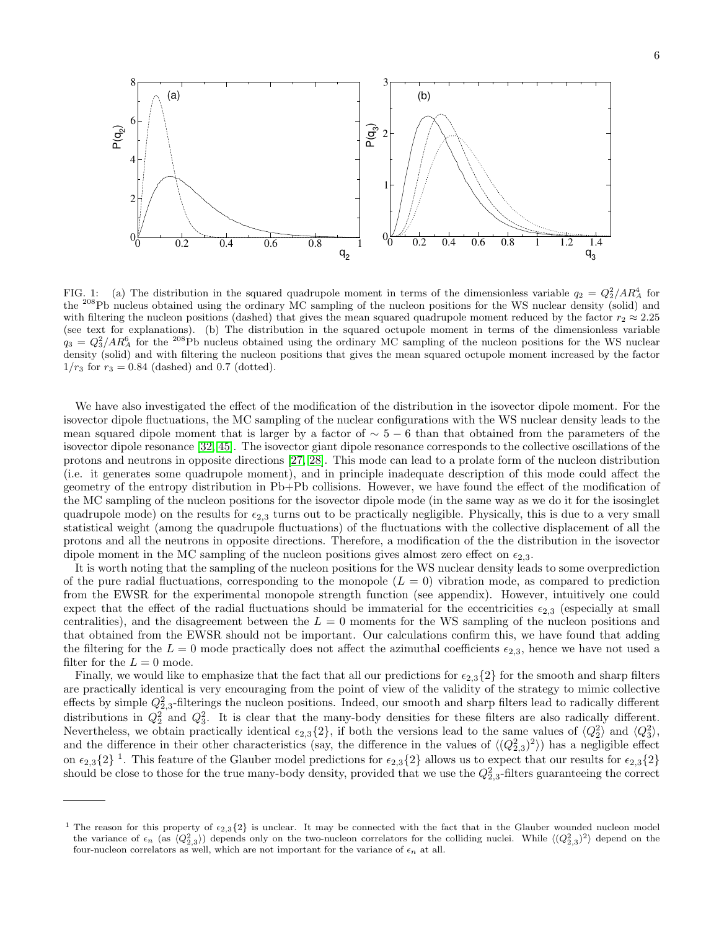

FIG. 1: (a) The distribution in the squared quadrupole moment in terms of the dimensionless variable  $q_2 = Q_2^2/AR_A^4$  for the <sup>208</sup>Pb nucleus obtained using the ordinary MC sampling of the nucleon positions for the WS nuclear density (solid) and with filtering the nucleon positions (dashed) that gives the mean squared quadrupole moment reduced by the factor  $r_2 \approx 2.25$ (see text for explanations). (b) The distribution in the squared octupole moment in terms of the dimensionless variable  $q_3 = Q_3^2/AR_A^6$  for the <sup>208</sup>Pb nucleus obtained using the ordinary MC sampling of the nucleon positions for the WS nuclear density (solid) and with filtering the nucleon positions that gives the mean squared octupole moment increased by the factor  $1/r_3$  for  $r_3 = 0.84$  (dashed) and 0.7 (dotted).

We have also investigated the effect of the modification of the distribution in the isovector dipole moment. For the isovector dipole fluctuations, the MC sampling of the nuclear configurations with the WS nuclear density leads to the mean squared dipole moment that is larger by a factor of  $\sim 5-6$  than that obtained from the parameters of the isovector dipole resonance [\[32,](#page-12-2) [45\]](#page-12-15). The isovector giant dipole resonance corresponds to the collective oscillations of the protons and neutrons in opposite directions [\[27,](#page-11-25) [28\]](#page-11-26). This mode can lead to a prolate form of the nucleon distribution (i.e. it generates some quadrupole moment), and in principle inadequate description of this mode could affect the geometry of the entropy distribution in Pb+Pb collisions. However, we have found the effect of the modification of the MC sampling of the nucleon positions for the isovector dipole mode (in the same way as we do it for the isosinglet quadrupole mode) on the results for  $\epsilon_{2,3}$  turns out to be practically negligible. Physically, this is due to a very small statistical weight (among the quadrupole fluctuations) of the fluctuations with the collective displacement of all the protons and all the neutrons in opposite directions. Therefore, a modification of the the distribution in the isovector dipole moment in the MC sampling of the nucleon positions gives almost zero effect on  $\epsilon_{2,3}$ .

It is worth noting that the sampling of the nucleon positions for the WS nuclear density leads to some overprediction of the pure radial fluctuations, corresponding to the monopole  $(L = 0)$  vibration mode, as compared to prediction from the EWSR for the experimental monopole strength function (see appendix). However, intuitively one could expect that the effect of the radial fluctuations should be immaterial for the eccentricities  $\epsilon_{2,3}$  (especially at small centralities), and the disagreement between the  $L = 0$  moments for the WS sampling of the nucleon positions and that obtained from the EWSR should not be important. Our calculations confirm this, we have found that adding the filtering for the  $L = 0$  mode practically does not affect the azimuthal coefficients  $\epsilon_{2,3}$ , hence we have not used a filter for the  $L = 0$  mode.

Finally, we would like to emphasize that the fact that all our predictions for  $\epsilon_{2,3}\{2\}$  for the smooth and sharp filters are practically identical is very encouraging from the point of view of the validity of the strategy to mimic collective effects by simple  $Q_{2,3}^2$ -filterings the nucleon positions. Indeed, our smooth and sharp filters lead to radically different distributions in  $Q_2^2$  and  $Q_3^2$ . It is clear that the many-body densities for these filters are also radically different. Nevertheless, we obtain practically identical  $\epsilon_{2,3}{2}$ , if both the versions lead to the same values of  $\langle Q_2^2 \rangle$  and  $\langle Q_3^2 \rangle$ , and the difference in their other characteristics (say, the difference in the values of  $\langle (Q_{2,3}^2)^2 \rangle$ ) has a negligible effect on  $\epsilon_{2,3}\{2\}$ <sup>1</sup>. This feature of the Glauber model predictions for  $\epsilon_{2,3}\{2\}$  allows us to expect that our results for  $\epsilon_{2,3}\{2\}$ should be close to those for the true many-body density, provided that we use the  $Q_{2,3}^2$ -filters guaranteeing the correct

<sup>&</sup>lt;sup>1</sup> The reason for this property of  $\epsilon_{2,3}$  {2} is unclear. It may be connected with the fact that in the Glauber wounded nucleon model the variance of  $\epsilon_n$  (as  $\langle Q_{2,3}^2 \rangle$ ) depends only on the two-nucleon correlators for the colliding nuclei. While  $\langle (Q_{2,3}^2)^2 \rangle$  depend on the four-nucleon correlators as well, which are not important for the variance of  $\epsilon_n$  at all.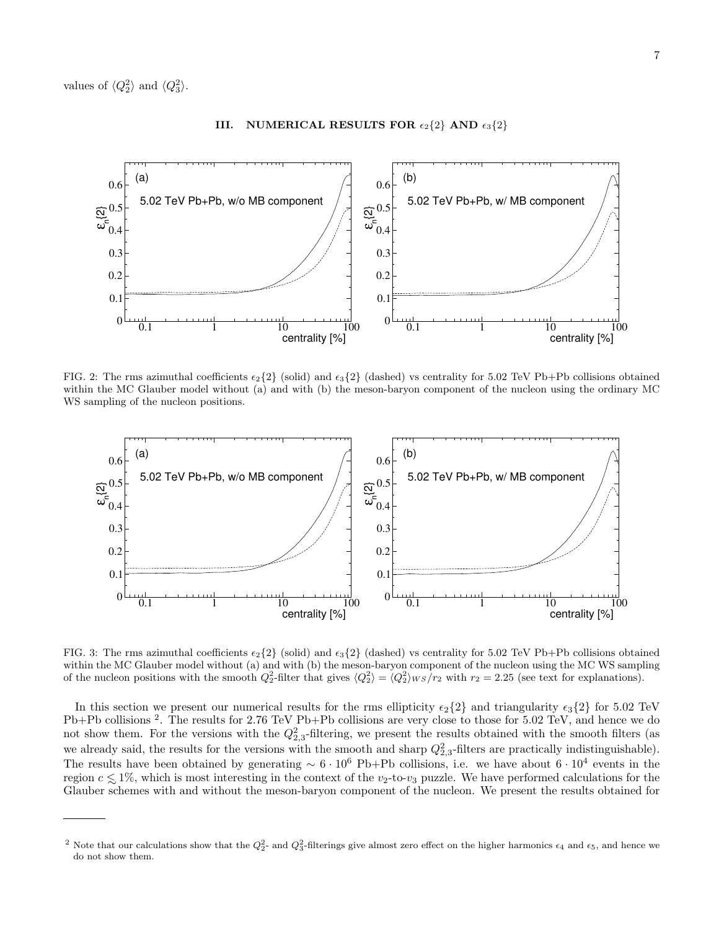values of  $\langle Q_2^2 \rangle$  and  $\langle Q_3^2 \rangle$ .



# III. NUMERICAL RESULTS FOR  $\epsilon_2$ {2} AND  $\epsilon_3$ {2}

FIG. 2: The rms azimuthal coefficients  $\epsilon_2$  {2} (solid) and  $\epsilon_3$  {2} (dashed) vs centrality for 5.02 TeV Pb+Pb collisions obtained within the MC Glauber model without (a) and with (b) the meson-baryon component of the nucleon using the ordinary MC WS sampling of the nucleon positions.



FIG. 3: The rms azimuthal coefficients  $\epsilon_2$ {2} (solid) and  $\epsilon_3$ {2} (dashed) vs centrality for 5.02 TeV Pb+Pb collisions obtained within the MC Glauber model without (a) and with (b) the meson-baryon component of the nucleon using the MC WS sampling of the nucleon positions with the smooth  $Q_2^2$ -filter that gives  $\langle Q_2^2 \rangle = \langle Q_2^2 \rangle_{WS}/r_2$  with  $r_2 = 2.25$  (see text for explanations).

In this section we present our numerical results for the rms ellipticity  $\epsilon_2$ {2} and triangularity  $\epsilon_3$ {2} for 5.02 TeV Pb+Pb collisions <sup>2</sup>. The results for 2.76 TeV Pb+Pb collisions are very close to those for 5.02 TeV, and hence we do not show them. For the versions with the  $Q_{2,3}^2$ -filtering, we present the results obtained with the smooth filters (as we already said, the results for the versions with the smooth and sharp  $Q_{2,3}^2$ -filters are practically indistinguishable). The results have been obtained by generating  $\sim 6 \cdot 10^6$  Pb+Pb collisions, i.e. we have about  $6 \cdot 10^4$  events in the region  $c \lesssim 1\%$ , which is most interesting in the context of the v<sub>2</sub>-to-v<sub>3</sub> puzzle. We have performed calculations for the Glauber schemes with and without the meson-baryon component of the nucleon. We present the results obtained for

<sup>&</sup>lt;sup>2</sup> Note that our calculations show that the  $Q_2^2$ - and  $Q_3^2$ -filterings give almost zero effect on the higher harmonics  $\epsilon_4$  and  $\epsilon_5$ , and hence we do not show them.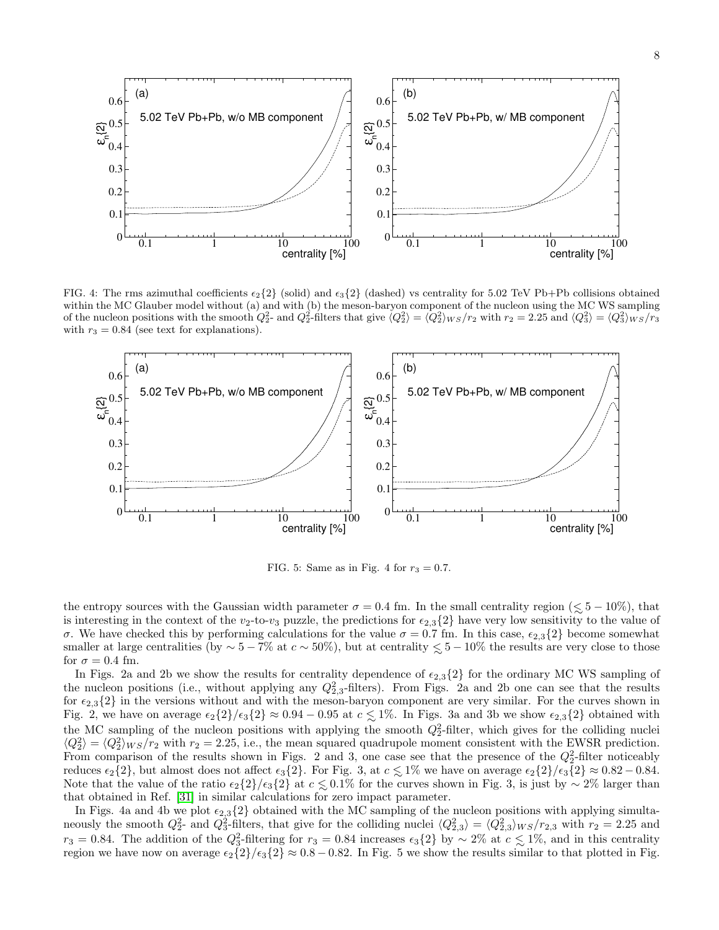

FIG. 4: The rms azimuthal coefficients  $\epsilon_2$  {2} (solid) and  $\epsilon_3$  {2} (dashed) vs centrality for 5.02 TeV Pb+Pb collisions obtained within the MC Glauber model without (a) and with (b) the meson-baryon component of the nucleon using the MC WS sampling of the nucleon positions with the smooth  $Q_2^2$ - and  $Q_2^2$ -filters that give  $\langle Q_2^2 \rangle = \langle Q_2^2 \rangle_{WS}/r_2$  with  $r_2 = 2.25$  and  $\langle Q_3^2 \rangle = \langle Q_3^2 \rangle_{WS}/r_3$ with  $r_3 = 0.84$  (see text for explanations).



FIG. 5: Same as in Fig. 4 for  $r_3 = 0.7$ .

the entropy sources with the Gaussian width parameter  $\sigma = 0.4$  fm. In the small centrality region ( $\lesssim 5 - 10\%$ ), that is interesting in the context of the  $v_2$ -to- $v_3$  puzzle, the predictions for  $\epsilon_{2,3}{2}$  have very low sensitivity to the value of σ. We have checked this by performing calculations for the value  $\sigma = 0.7$  fm. In this case,  $\epsilon_{2,3}$ {2} become somewhat smaller at large centralities (by  $\sim 5-7\%$  at  $c \sim 50\%$ ), but at centrality  $\leq 5-10\%$  the results are very close to those for  $\sigma = 0.4$  fm.

In Figs. 2a and 2b we show the results for centrality dependence of  $\epsilon_{2,3}{2}$  for the ordinary MC WS sampling of the nucleon positions (i.e., without applying any  $Q_{2,3}^2$ -filters). From Figs. 2a and 2b one can see that the results for  $\epsilon_{2,3}\{2\}$  in the versions without and with the meson-baryon component are very similar. For the curves shown in Fig. 2, we have on average  $\epsilon_2\{2\}/\epsilon_3\{2\} \approx 0.94 - 0.95$  at  $c \lesssim 1\%$ . In Figs. 3a and 3b we show  $\epsilon_{2,3}\{2\}$  obtained with the MC sampling of the nucleon positions with applying the smooth  $Q_2^2$ -filter, which gives for the colliding nuclei  $\langle Q_2^2 \rangle = \langle Q_2^2 \rangle_{WS}/r_2$  with  $r_2 = 2.25$ , i.e., the mean squared quadrupole moment consistent with the EWSR prediction. From comparison of the results shown in Figs. 2 and 3, one case see that the presence of the  $Q_2^2$ -filter noticeably reduces  $\epsilon_2$ {2}, but almost does not affect  $\epsilon_3$ {2}. For Fig. 3, at  $c \lesssim 1\%$  we have on average  $\epsilon_2$ {2}/ $\epsilon_3$ {2} ≈ 0.82 − 0.84. Note that the value of the ratio  $\epsilon_2$ {2}/ $\epsilon_3$ {2} at  $c \le 0.1\%$  for the curves shown in Fig. 3, is just by ∼ 2% larger than that obtained in Ref. [\[31\]](#page-12-1) in similar calculations for zero impact parameter.

In Figs. 4a and 4b we plot  $\epsilon_{2,3}{2}$  obtained with the MC sampling of the nucleon positions with applying simultaneously the smooth  $Q_2^2$ - and  $Q_3^2$ -filters, that give for the colliding nuclei  $\langle Q_{2,3}^2 \rangle = \langle Q_{2,3}^2 \rangle_{WS}/r_{2,3}$  with  $r_2 = 2.25$  and  $r_3 = 0.84$ . The addition of the  $Q_3^2$ -filtering for  $r_3 = 0.84$  increases  $\epsilon_3\{2\}$  by ∼ 2% at  $c \le 1$ %, and in this centrality region we have now on average  $\epsilon_2\{2\}/\epsilon_3\{2\} \approx 0.8 - 0.82$ . In Fig. 5 we show the results similar to that plotted in Fig.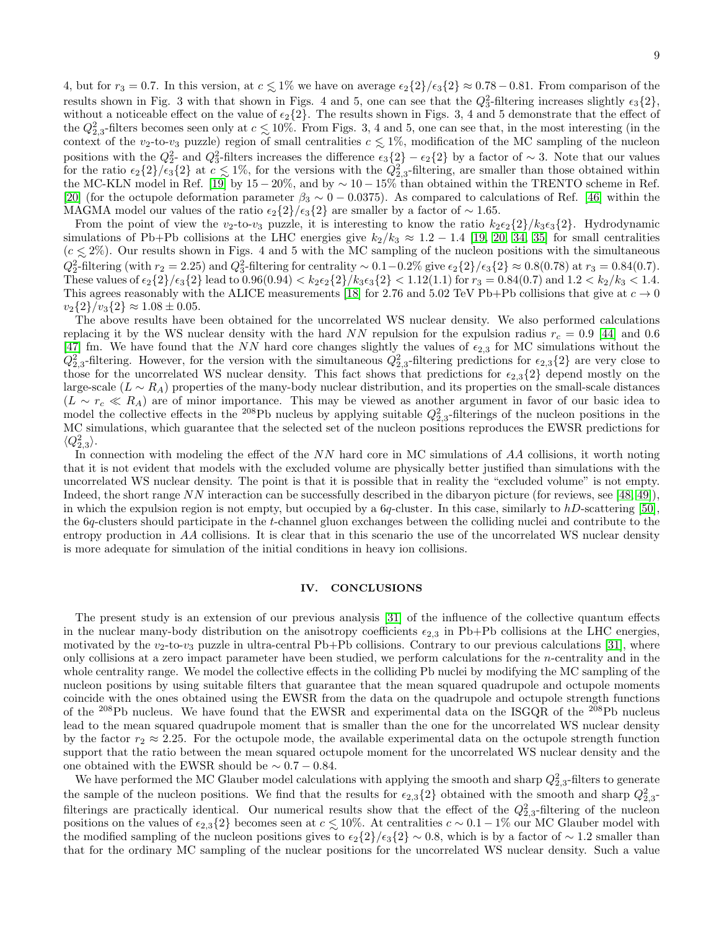4, but for  $r_3 = 0.7$ . In this version, at  $c \leq 1\%$  we have on average  $\epsilon_2\{2\}/\epsilon_3\{2\} \approx 0.78 - 0.81$ . From comparison of the results shown in Fig. 3 with that shown in Figs. 4 and 5, one can see that the  $Q_3^2$ -filtering increases slightly  $\epsilon_3\{2\}$ , without a noticeable effect on the value of  $\epsilon_2$ {2}. The results shown in Figs. 3, 4 and 5 demonstrate that the effect of the  $Q_{2,3}^2$ -filters becomes seen only at  $c \lesssim 10\%$ . From Figs. 3, 4 and 5, one can see that, in the most interesting (in the context of the v<sub>2</sub>-to-v<sub>3</sub> puzzle) region of small centralities  $c \lesssim 1\%$ , modification of the MC sampling of the nucleon positions with the  $Q_2^2$ - and  $Q_3^2$ -filters increases the difference  $\epsilon_3\{2\} - \epsilon_2\{2\}$  by a factor of ~ 3. Note that our values for the ratio  $\epsilon_2\{2\}/\epsilon_3\{2\}$  at  $c \lesssim 1\%$ , for the versions with the  $Q_{2,3}^2$ -filtering, are smaller than those obtained within the MC-KLN model in Ref. [\[19\]](#page-11-16) by  $15-20\%$ , and by  $\sim 10-15\%$  than obtained within the TRENTO scheme in Ref. [\[20\]](#page-11-17) (for the octupole deformation parameter  $\beta_3 \sim 0 - 0.0375$ ). As compared to calculations of Ref. [\[46\]](#page-12-16) within the MAGMA model our values of the ratio  $\epsilon_2\{2\}/\epsilon_3\{2\}$  are smaller by a factor of ~ 1.65.

From the point of view the  $v_2$ -to- $v_3$  puzzle, it is interesting to know the ratio  $k_2 \epsilon_2 \{2\}/k_3 \epsilon_3 \{2\}$ . Hydrodynamic simulations of Pb+Pb collisions at the LHC energies give  $k_2/k_3 \approx 1.2 - 1.4$  [\[19,](#page-11-16) [20,](#page-11-17) [34,](#page-12-4) [35\]](#page-12-5) for small centralities  $(c ≤ 2%)$ . Our results shown in Figs. 4 and 5 with the MC sampling of the nucleon positions with the simultaneous  $Q_2^2$ -filtering (with  $r_2 = 2.25$ ) and  $Q_3^2$ -filtering for centrality ~ 0.1–0.2% give  $\epsilon_2\{2\}/\epsilon_3\{2\} \approx 0.8(0.78)$  at  $r_3 = 0.84(0.7)$ . These values of  $\epsilon_2\{2\}/\epsilon_3\{2\}$  lead to  $0.96(0.94) < k_2\epsilon_2\{2\}/k_3\epsilon_3\{2\} < 1.12(1.1)$  for  $r_3 = 0.84(0.7)$  and  $1.2 < k_2/k_3 < 1.4$ . This agrees reasonably with the ALICE measurements [\[18\]](#page-11-15) for 2.76 and 5.02 TeV Pb+Pb collisions that give at  $c \to 0$  $v_2\{2\}/v_3\{2\} \approx 1.08 \pm 0.05.$ 

The above results have been obtained for the uncorrelated WS nuclear density. We also performed calculations replacing it by the WS nuclear density with the hard NN repulsion for the expulsion radius  $r_c = 0.9$  [\[44\]](#page-12-14) and 0.6 [\[47\]](#page-12-17) fm. We have found that the NN hard core changes slightly the values of  $\epsilon_{2,3}$  for MC simulations without the  $Q_{2,3}^2$ -filtering. However, for the version with the simultaneous  $Q_{2,3}^2$ -filtering predictions for  $\epsilon_{2,3}{2}$  are very close to those for the uncorrelated WS nuclear density. This fact shows that predictions for  $\epsilon_{2,3}{2}$  depend mostly on the large-scale ( $L \sim R_A$ ) properties of the many-body nuclear distribution, and its properties on the small-scale distances  $(L \sim r_c \ll R_A)$  are of minor importance. This may be viewed as another argument in favor of our basic idea to model the collective effects in the <sup>208</sup>Pb nucleus by applying suitable  $Q_{2,3}^2$ -filterings of the nucleon positions in the MC simulations, which guarantee that the selected set of the nucleon positions reproduces the EWSR predictions for  $\langle Q_{2,3}^2 \rangle$ .

In connection with modeling the effect of the NN hard core in MC simulations of AA collisions, it worth noting that it is not evident that models with the excluded volume are physically better justified than simulations with the uncorrelated WS nuclear density. The point is that it is possible that in reality the "excluded volume" is not empty. Indeed, the short range NN interaction can be successfully described in the dibaryon picture (for reviews, see [\[48,](#page-12-18) [49\]](#page-12-19)), in which the expulsion region is not empty, but occupied by a  $6q$ -cluster. In this case, similarly to  $hD$ -scattering [\[50\]](#page-12-20), the 6q-clusters should participate in the t-channel gluon exchanges between the colliding nuclei and contribute to the entropy production in AA collisions. It is clear that in this scenario the use of the uncorrelated WS nuclear density is more adequate for simulation of the initial conditions in heavy ion collisions.

# IV. CONCLUSIONS

The present study is an extension of our previous analysis [\[31\]](#page-12-1) of the influence of the collective quantum effects in the nuclear many-body distribution on the anisotropy coefficients  $\epsilon_{2,3}$  in Pb+Pb collisions at the LHC energies, motivated by the  $v_2$ -to- $v_3$  puzzle in ultra-central Pb+Pb collisions. Contrary to our previous calculations [\[31\]](#page-12-1), where only collisions at a zero impact parameter have been studied, we perform calculations for the n-centrality and in the whole centrality range. We model the collective effects in the colliding Pb nuclei by modifying the MC sampling of the nucleon positions by using suitable filters that guarantee that the mean squared quadrupole and octupole moments coincide with the ones obtained using the EWSR from the data on the quadrupole and octupole strength functions of the <sup>208</sup>Pb nucleus. We have found that the EWSR and experimental data on the ISGQR of the <sup>208</sup>Pb nucleus lead to the mean squared quadrupole moment that is smaller than the one for the uncorrelated WS nuclear density by the factor  $r_2 \approx 2.25$ . For the octupole mode, the available experimental data on the octupole strength function support that the ratio between the mean squared octupole moment for the uncorrelated WS nuclear density and the one obtained with the EWSR should be  $\sim 0.7 - 0.84$ .

We have performed the MC Glauber model calculations with applying the smooth and sharp  $Q_{2,3}^2$ -filters to generate the sample of the nucleon positions. We find that the results for  $\epsilon_{2,3}{2}$  obtained with the smooth and sharp  $Q_{2,3}^2$ . filterings are practically identical. Our numerical results show that the effect of the  $Q_{2,3}^2$ -filtering of the nucleon positions on the values of  $\epsilon_{2,3}{2}$  becomes seen at  $c \lesssim 10\%$ . At centralities  $c \sim 0.1 - 1\%$  our MC Glauber model with the modified sampling of the nucleon positions gives to  $\epsilon_2\{2\}/\epsilon_3\{2\} \sim 0.8$ , which is by a factor of  $\sim 1.2$  smaller than that for the ordinary MC sampling of the nuclear positions for the uncorrelated WS nuclear density. Such a value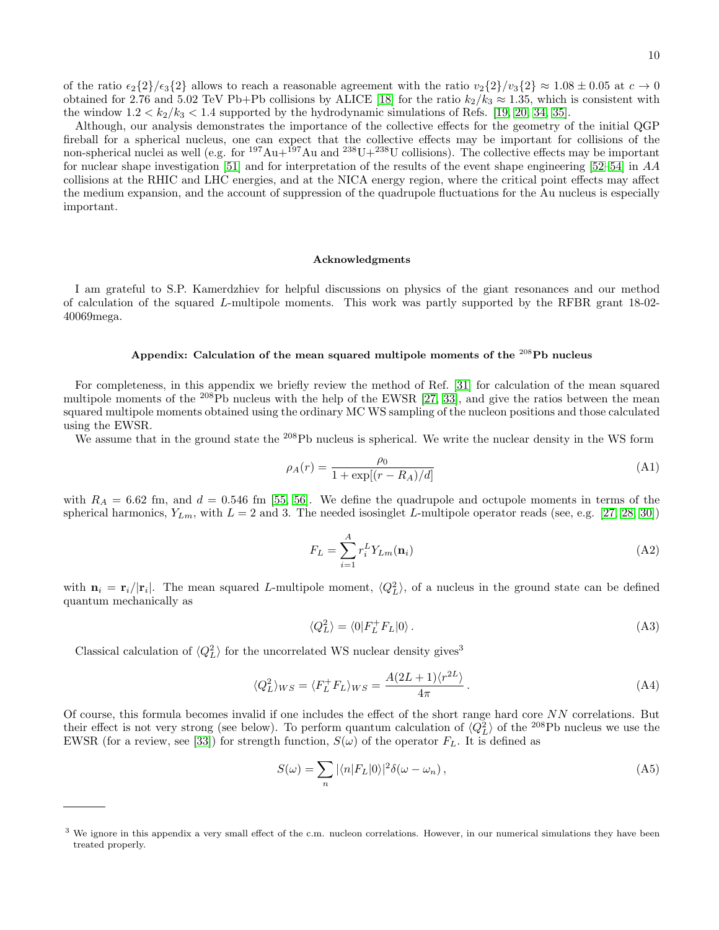of the ratio  $\epsilon_2\{2\}/\epsilon_3\{2\}$  allows to reach a reasonable agreement with the ratio  $v_2\{2\}/v_3\{2\} \approx 1.08 \pm 0.05$  at  $c \to 0$ obtained for 2.76 and 5.02 TeV Pb+Pb collisions by ALICE [\[18\]](#page-11-15) for the ratio  $k_2/k_3 \approx 1.35$ , which is consistent with the window  $1.2 < k_2/k_3 < 1.4$  supported by the hydrodynamic simulations of Refs. [\[19,](#page-11-16) [20,](#page-11-17) [34,](#page-12-4) [35\]](#page-12-5).

Although, our analysis demonstrates the importance of the collective effects for the geometry of the initial QGP fireball for a spherical nucleus, one can expect that the collective effects may be important for collisions of the non-spherical nuclei as well (e.g. for  $197\text{Au}+197\text{Au}$  and  $238\text{U}+238\text{U}$  collisions). The collective effects may be important for nuclear shape investigation [\[51\]](#page-12-21) and for interpretation of the results of the event shape engineering [\[52–](#page-12-22)[54\]](#page-12-23) in AA collisions at the RHIC and LHC energies, and at the NICA energy region, where the critical point effects may affect the medium expansion, and the account of suppression of the quadrupole fluctuations for the Au nucleus is especially important.

### Acknowledgments

I am grateful to S.P. Kamerdzhiev for helpful discussions on physics of the giant resonances and our method of calculation of the squared L-multipole moments. This work was partly supported by the RFBR grant 18-02- 40069mega.

# Appendix: Calculation of the mean squared multipole moments of the <sup>208</sup>Pb nucleus

For completeness, in this appendix we briefly review the method of Ref. [\[31\]](#page-12-1) for calculation of the mean squared multipole moments of the <sup>208</sup>Pb nucleus with the help of the EWSR [\[27,](#page-11-25) [33\]](#page-12-3), and give the ratios between the mean squared multipole moments obtained using the ordinary MC WS sampling of the nucleon positions and those calculated using the EWSR.

We assume that in the ground state the <sup>208</sup>Pb nucleus is spherical. We write the nuclear density in the WS form

<span id="page-9-0"></span>
$$
\rho_A(r) = \frac{\rho_0}{1 + \exp[(r - R_A)/d]} \tag{A1}
$$

with  $R_A = 6.62$  fm, and  $d = 0.546$  fm [\[55,](#page-12-24) [56\]](#page-12-25). We define the quadrupole and octupole moments in terms of the spherical harmonics,  $Y_{Lm}$ , with  $L = 2$  and 3. The needed isosinglet L-multipole operator reads (see, e.g. [\[27,](#page-11-25) [28,](#page-11-26) [30\]](#page-12-0))

$$
F_L = \sum_{i=1}^{A} r_i^L Y_{Lm}(\mathbf{n}_i)
$$
\n(A2)

with  $n_i = r_i/|r_i|$ . The mean squared L-multipole moment,  $\langle Q_L^2 \rangle$ , of a nucleus in the ground state can be defined quantum mechanically as

$$
\langle Q_L^2 \rangle = \langle 0 | F_L^+ F_L | 0 \rangle. \tag{A3}
$$

Classical calculation of  $\langle Q_L^2 \rangle$  for the uncorrelated WS nuclear density gives<sup>3</sup>

<span id="page-9-1"></span>
$$
\langle Q_L^2 \rangle_{WS} = \langle F_L^+ F_L \rangle_{WS} = \frac{A(2L+1)\langle r^{2L} \rangle}{4\pi} \,. \tag{A4}
$$

Of course, this formula becomes invalid if one includes the effect of the short range hard core NN correlations. But their effect is not very strong (see below). To perform quantum calculation of  $\langle Q_L^2 \rangle$  of the <sup>208</sup>Pb nucleus we use the EWSR (for a review, see [\[33\]](#page-12-3)) for strength function,  $S(\omega)$  of the operator  $F<sub>L</sub>$ . It is defined as

$$
S(\omega) = \sum_{n} |\langle n|F_L|0\rangle|^2 \delta(\omega - \omega_n), \qquad (A5)
$$

<sup>&</sup>lt;sup>3</sup> We ignore in this appendix a very small effect of the c.m. nucleon correlations. However, in our numerical simulations they have been treated properly.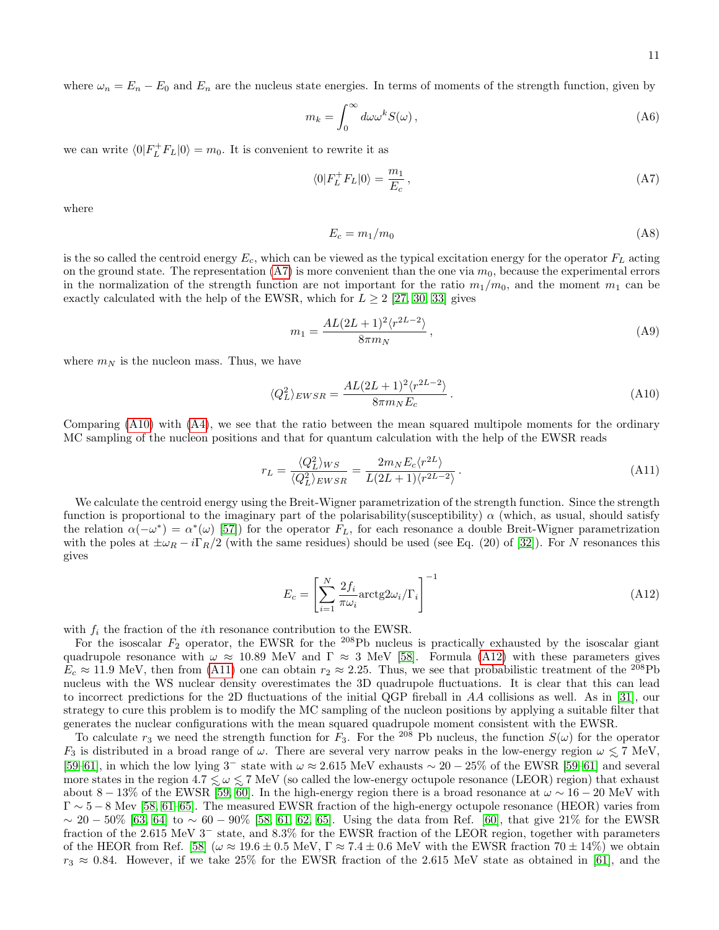where  $\omega_n = E_n - E_0$  and  $E_n$  are the nucleus state energies. In terms of moments of the strength function, given by

$$
m_k = \int_0^\infty d\omega \omega^k S(\omega), \qquad (A6)
$$

we can write  $\langle 0|F_L^+F_L|0\rangle = m_0$ . It is convenient to rewrite it as

<span id="page-10-0"></span>
$$
\langle 0|F_L^+F_L|0\rangle = \frac{m_1}{E_c},\tag{A7}
$$

where

$$
E_c = m_1/m_0 \tag{A8}
$$

is the so called the centroid energy  $E_c$ , which can be viewed as the typical excitation energy for the operator  $F<sub>L</sub>$  acting on the ground state. The representation  $(A7)$  is more convenient than the one via  $m_0$ , because the experimental errors in the normalization of the strength function are not important for the ratio  $m_1/m_0$ , and the moment  $m_1$  can be exactly calculated with the help of the EWSR, which for  $L \geq 2$  [\[27,](#page-11-25) [30,](#page-12-0) [33\]](#page-12-3) gives

$$
m_1 = \frac{AL(2L+1)^2 \langle r^{2L-2} \rangle}{8\pi m_N},
$$
\n(A9)

where  $m_N$  is the nucleon mass. Thus, we have

<span id="page-10-1"></span>
$$
\langle Q_L^2 \rangle_{EWSR} = \frac{AL(2L+1)^2 \langle r^{2L-2} \rangle}{8\pi m_N E_c} \,. \tag{A10}
$$

Comparing [\(A10\)](#page-10-1) with [\(A4\)](#page-9-1), we see that the ratio between the mean squared multipole moments for the ordinary MC sampling of the nucleon positions and that for quantum calculation with the help of the EWSR reads

<span id="page-10-3"></span>
$$
r_L = \frac{\langle Q_L^2 \rangle_{WS}}{\langle Q_L^2 \rangle_{EWSR}} = \frac{2m_N E_c \langle r^{2L} \rangle}{L(2L+1)\langle r^{2L-2} \rangle} \,. \tag{A11}
$$

We calculate the centroid energy using the Breit-Wigner parametrization of the strength function. Since the strength function is proportional to the imaginary part of the polarisability(susceptibility)  $\alpha$  (which, as usual, should satisfy the relation  $\alpha(-\omega^*) = \alpha^*(\omega)$  [\[57\]](#page-12-26)) for the operator  $F_L$ , for each resonance a double Breit-Wigner parametrization with the poles at  $\pm \omega_R - i\Gamma_R/2$  (with the same residues) should be used (see Eq. (20) of [\[32\]](#page-12-2)). For N resonances this gives

<span id="page-10-2"></span>
$$
E_c = \left[\sum_{i=1}^{N} \frac{2f_i}{\pi \omega_i} \text{arctg2}\omega_i / \Gamma_i\right]^{-1} \tag{A12}
$$

with  $f_i$  the fraction of the *i*th resonance contribution to the EWSR.

For the isoscalar  $F_2$  operator, the EWSR for the <sup>208</sup>Pb nucleus is practically exhausted by the isoscalar giant quadrupole resonance with  $\omega \approx 10.89$  MeV and  $\Gamma \approx 3$  MeV [\[58\]](#page-12-27). Formula [\(A12\)](#page-10-2) with these parameters gives  $E_c \approx 11.9$  MeV, then from [\(A11\)](#page-10-3) one can obtain  $r_2 \approx 2.25$ . Thus, we see that probabilistic treatment of the <sup>208</sup>Pb nucleus with the WS nuclear density overestimates the 3D quadrupole fluctuations. It is clear that this can lead to incorrect predictions for the 2D fluctuations of the initial QGP fireball in AA collisions as well. As in [\[31\]](#page-12-1), our strategy to cure this problem is to modify the MC sampling of the nucleon positions by applying a suitable filter that generates the nuclear configurations with the mean squared quadrupole moment consistent with the EWSR.

To calculate  $r_3$  we need the strength function for  $F_3$ . For the <sup>208</sup> Pb nucleus, the function  $S(\omega)$  for the operator  $F_3$  is distributed in a broad range of  $\omega$ . There are several very narrow peaks in the low-energy region  $\omega \lesssim 7$  MeV, [\[59–](#page-12-28)[61\]](#page-12-29), in which the low lying  $3^-$  state with  $\omega \approx 2.615$  MeV exhausts  $\sim 20-25\%$  of the EWSR [\[59](#page-12-28)[–61\]](#page-12-29) and several more states in the region 4.7  $\leq \omega \leq 7$  MeV (so called the low-energy octupole resonance (LEOR) region) that exhaust about 8 − 13% of the EWSR [\[59,](#page-12-28) [60\]](#page-12-30). In the high-energy region there is a broad resonance at  $\omega \sim 16 - 20$  MeV with  $\Gamma \sim 5-8$  Mev [\[58,](#page-12-27) [61](#page-12-29)[–65\]](#page-12-31). The measured EWSR fraction of the high-energy octupole resonance (HEOR) varies from  $\sim 20 - 50\%$  [\[63,](#page-12-32) [64\]](#page-12-33) to  $\sim 60 - 90\%$  [\[58,](#page-12-27) [61,](#page-12-29) [62,](#page-12-34) [65\]](#page-12-31). Using the data from Ref. [\[60\]](#page-12-30), that give 21% for the EWSR fraction of the 2.615 MeV 3<sup>−</sup> state, and 8.3% for the EWSR fraction of the LEOR region, together with parameters of the HEOR from Ref. [\[58\]](#page-12-27) ( $\omega \approx 19.6 \pm 0.5$  MeV,  $\Gamma \approx 7.4 \pm 0.6$  MeV with the EWSR fraction  $70 \pm 14\%$ ) we obtain  $r_3 \approx 0.84$ . However, if we take 25% for the EWSR fraction of the 2.615 MeV state as obtained in [\[61\]](#page-12-29), and the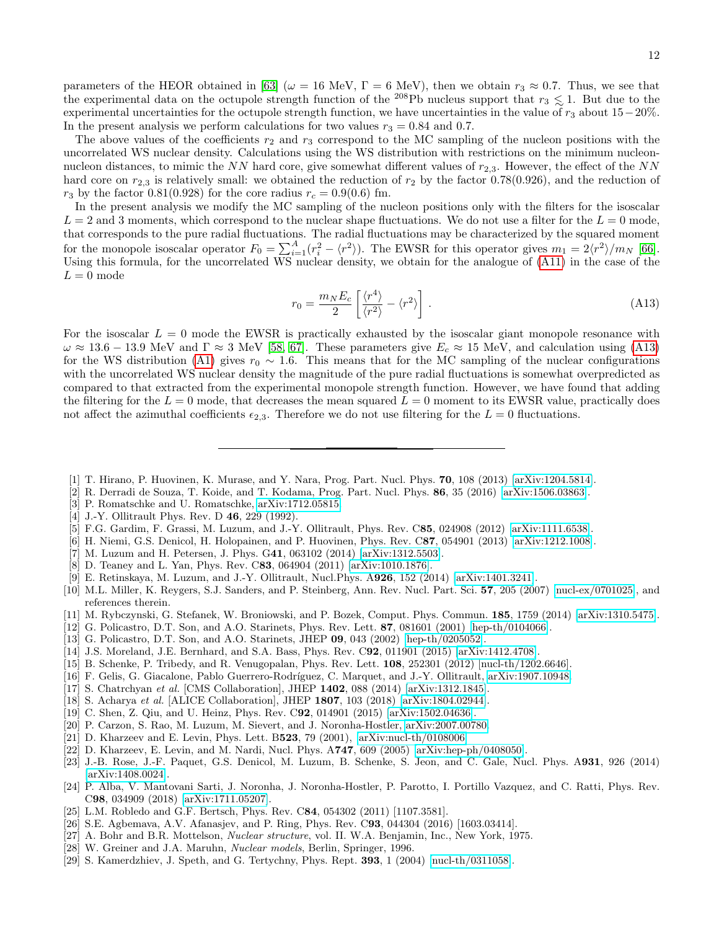parameters of the HEOR obtained in [\[63\]](#page-12-32) ( $\omega = 16$  MeV,  $\Gamma = 6$  MeV), then we obtain  $r_3 \approx 0.7$ . Thus, we see that the experimental data on the octupole strength function of the <sup>208</sup>Pb nucleus support that  $r_3 \leq 1$ . But due to the experimental uncertainties for the octupole strength function, we have uncertainties in the value of  $r_3$  about 15−20%. In the present analysis we perform calculations for two values  $r_3 = 0.84$  and 0.7.

The above values of the coefficients  $r_2$  and  $r_3$  correspond to the MC sampling of the nucleon positions with the uncorrelated WS nuclear density. Calculations using the WS distribution with restrictions on the minimum nucleonnucleon distances, to mimic the NN hard core, give somewhat different values of  $r_{2,3}$ . However, the effect of the NN hard core on  $r_{2,3}$  is relatively small: we obtained the reduction of  $r_2$  by the factor 0.78(0.926), and the reduction of  $r_3$  by the factor 0.81(0.928) for the core radius  $r_c = 0.9(0.6)$  fm.

In the present analysis we modify the MC sampling of the nucleon positions only with the filters for the isoscalar  $L = 2$  and 3 moments, which correspond to the nuclear shape fluctuations. We do not use a filter for the  $L = 0$  mode, that corresponds to the pure radial fluctuations. The radial fluctuations may be characterized by the squared moment for the monopole isoscalar operator  $F_0 = \sum_{i=1}^A (r_i^2 - \langle r^2 \rangle)$ . The EWSR for this operator gives  $m_1 = 2\langle r^2 \rangle/m_N$  [\[66\]](#page-12-35). Using this formula, for the uncorrelated WS nuclear density, we obtain for the analogue of [\(A11\)](#page-10-3) in the case of the  $L = 0$  mode

<span id="page-11-28"></span>
$$
r_0 = \frac{m_N E_c}{2} \left[ \frac{\langle r^4 \rangle}{\langle r^2 \rangle} - \langle r^2 \rangle \right].
$$
 (A13)

For the isoscalar  $L = 0$  mode the EWSR is practically exhausted by the isoscalar giant monopole resonance with  $\omega \approx 13.6 - 13.9 \text{ MeV}$  and  $\Gamma \approx 3 \text{ MeV}$  [\[58,](#page-12-27) [67\]](#page-12-36). These parameters give  $E_c \approx 15 \text{ MeV}$ , and calculation using [\(A13\)](#page-11-28) for the WS distribution [\(A1\)](#page-9-0) gives  $r_0 \sim 1.6$ . This means that for the MC sampling of the nuclear configurations with the uncorrelated WS nuclear density the magnitude of the pure radial fluctuations is somewhat overpredicted as compared to that extracted from the experimental monopole strength function. However, we have found that adding the filtering for the  $L = 0$  mode, that decreases the mean squared  $L = 0$  moment to its EWSR value, practically does not affect the azimuthal coefficients  $\epsilon_{2,3}$ . Therefore we do not use filtering for the  $L = 0$  fluctuations.

- <span id="page-11-0"></span>[1] T. Hirano, P. Huovinen, K. Murase, and Y. Nara, Prog. Part. Nucl. Phys. 70, 108 (2013) [\[arXiv:1204.5814\]](http://arxiv.org/abs/1204.5814).
- [2] R. Derradi de Souza, T. Koide, and T. Kodama, Prog. Part. Nucl. Phys. 86, 35 (2016) [\[arXiv:1506.03863\]](http://arxiv.org/abs/1506.03863).
- <span id="page-11-1"></span>[3] P. Romatschke and U. Romatschke, [arXiv:1712.05815.](http://arxiv.org/abs/1712.05815)
- <span id="page-11-2"></span>[4] J.-Y. Ollitrault Phys. Rev. D **46**, 229 (1992).
- <span id="page-11-3"></span>[5] F.G. Gardim, F. Grassi, M. Luzum, and J.-Y. Ollitrault, Phys. Rev. C85, 024908 (2012) [\[arXiv:1111.6538\]](http://arxiv.org/abs/1111.6538).
- <span id="page-11-18"></span>[6] H. Niemi, G.S. Denicol, H. Holopainen, and P. Huovinen, Phys. Rev. C87, 054901 (2013) [\[arXiv:1212.1008\]](http://arxiv.org/abs/1212.1008).
- <span id="page-11-4"></span>[7] M. Luzum and H. Petersen, J. Phys. G41, 063102 (2014) [\[arXiv:1312.5503\]](http://arxiv.org/abs/1312.5503).
- <span id="page-11-5"></span>[8] D. Teaney and L. Yan, Phys. Rev. C83, 064904 (2011) [\[arXiv:1010.1876\]](http://arxiv.org/abs/1010.1876).
- <span id="page-11-6"></span>[9] E. Retinskaya, M. Luzum, and J.-Y. Ollitrault, Nucl.Phys. A926, 152 (2014) [\[arXiv:1401.3241\]](http://arxiv.org/abs/1401.3241).
- <span id="page-11-7"></span>[10] M.L. Miller, K. Reygers, S.J. Sanders, and P. Steinberg, Ann. Rev. Nucl. Part. Sci. 57, 205 (2007) [\[nucl-ex/0701025\]](http://arxiv.org/abs/nucl-ex/0701025), and references therein.
- <span id="page-11-8"></span>[11] M. Rybczynski, G. Stefanek, W. Broniowski, and P. Bozek, Comput. Phys. Commun. 185, 1759 (2014) [\[arXiv:1310.5475\]](http://arxiv.org/abs/1310.5475).
- <span id="page-11-9"></span>[12] G. Policastro, D.T. Son, and A.O. Starinets, Phys. Rev. Lett. 87, 081601 (2001) [\[hep-th/0104066\]](http://arxiv.org/abs/hep-th/0104066).
- <span id="page-11-10"></span>[13] G. Policastro, D.T. Son, and A.O. Starinets, JHEP 09, 043 (2002) [\[hep-th/0205052\]](http://arxiv.org/abs/hep-th/0205052).
- <span id="page-11-11"></span>[14] J.S. Moreland, J.E. Bernhard, and S.A. Bass, Phys. Rev. C92, 011901 (2015) [\[arXiv:1412.4708\]](http://arxiv.org/abs/1412.4708).
- <span id="page-11-12"></span>[15] B. Schenke, P. Tribedy, and R. Venugopalan, Phys. Rev. Lett. 108, 252301 (2012) [nucl-th/1202.6646].
- <span id="page-11-13"></span>[16] F. Gelis, G. Giacalone, Pablo Guerrero-Rodríguez, C. Marquet, and J.-Y. Ollitrault, [arXiv:1907.10948.](http://arxiv.org/abs/1907.10948)
- <span id="page-11-14"></span>[17] S. Chatrchyan et al. [CMS Collaboration], JHEP 1402, 088 (2014) [\[arXiv:1312.1845\]](http://arxiv.org/abs/1312.1845).
- <span id="page-11-15"></span>[18] S. Acharya et al. [ALICE Collaboration], JHEP 1807, 103 (2018) [\[arXiv:1804.02944\]](http://arxiv.org/abs/1804.02944).
- <span id="page-11-16"></span>[19] C. Shen, Z. Qiu, and U. Heinz, Phys. Rev. C92, 014901 (2015) [\[arXiv:1502.04636\]](http://arxiv.org/abs/1502.04636).
- <span id="page-11-17"></span>[20] P. Carzon, S. Rao, M. Luzum, M. Sievert, and J. Noronha-Hostler, [arXiv:2007.00780.](http://arxiv.org/abs/2007.00780)
- <span id="page-11-19"></span>[21] D. Kharzeev and E. Levin, Phys. Lett. B523, 79 (2001), [\[arXiv:nucl-th/0108006\]](http://arxiv.org/abs/nucl-th/0108006)
- <span id="page-11-20"></span>[22] D. Kharzeev, E. Levin, and M. Nardi, Nucl. Phys. A747, 609 (2005) [\[arXiv:hep-ph/0408050\]](http://arxiv.org/abs/hep-ph/0408050).
- <span id="page-11-21"></span>[23] J.-B. Rose, J.-F. Paquet, G.S. Denicol, M. Luzum, B. Schenke, S. Jeon, and C. Gale, Nucl. Phys. A931, 926 (2014) [\[arXiv:1408.0024\]](http://arxiv.org/abs/1408.0024).
- <span id="page-11-22"></span>[24] P. Alba, V. Mantovani Sarti, J. Noronha, J. Noronha-Hostler, P. Parotto, I. Portillo Vazquez, and C. Ratti, Phys. Rev. C98, 034909 (2018) [\[arXiv:1711.05207\]](http://arxiv.org/abs/1711.05207).
- <span id="page-11-23"></span>[25] L.M. Robledo and G.F. Bertsch, Phys. Rev. C84, 054302 (2011) [1107.3581].
- <span id="page-11-24"></span>[26] S.E. Agbemava, A.V. Afanasjev, and P. Ring, Phys. Rev. C93, 044304 (2016) [1603.03414].
- <span id="page-11-25"></span>[27] A. Bohr and B.R. Mottelson, *Nuclear structure*, vol. II. W.A. Benjamin, Inc., New York, 1975.
- <span id="page-11-26"></span>[28] W. Greiner and J.A. Maruhn, Nuclear models, Berlin, Springer, 1996.
- <span id="page-11-27"></span>[29] S. Kamerdzhiev, J. Speth, and G. Tertychny, Phys. Rept.  $393$ , 1 (2004) [\[nucl-th/0311058\]](http://arxiv.org/abs/nucl-th/0311058).